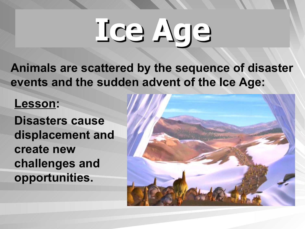**Animals are scattered by the sequence of disaster events and the sudden advent of the Ice Age:**

#### **Lesson:**

**Disasters cause displacement and create new challenges and opportunities.**

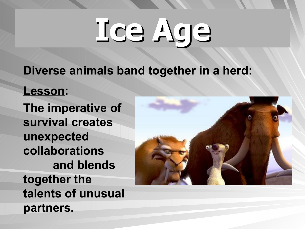**Diverse animals band together in a herd:**

**Lesson:** 

**The imperative of survival creates unexpected collaborations and blends together the talents of unusual partners.**

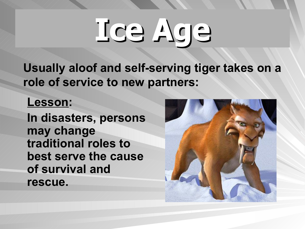**Usually aloof and self-serving tiger takes on a role of service to new partners:**

#### **Lesson:**

**In disasters, persons may change traditional roles to best serve the cause of survival and rescue.**

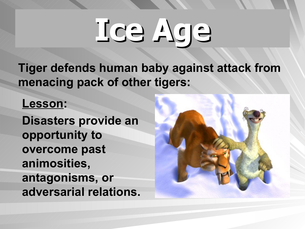**Tiger defends human baby against attack from menacing pack of other tigers:**

#### **Lesson:**

**Disasters provide an opportunity to overcome past animosities, antagonisms, or adversarial relations.**

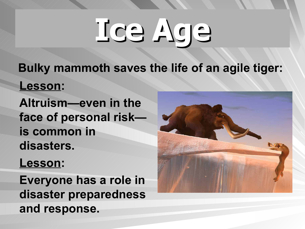**Bulky mammoth saves the life of an agile tiger:**

**Lesson:**

**Altruism—even in the face of personal risk is common in disasters.**

**Lesson:**

**Everyone has a role in disaster preparedness and response.**

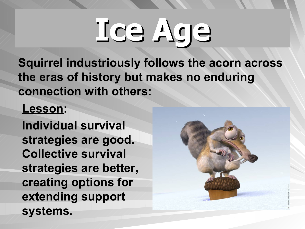**Squirrel industriously follows the acorn across the eras of history but makes no enduring connection with others:**

### **Lesson:**

**Individual survival strategies are good. Collective survival strategies are better, creating options for extending support systems.**